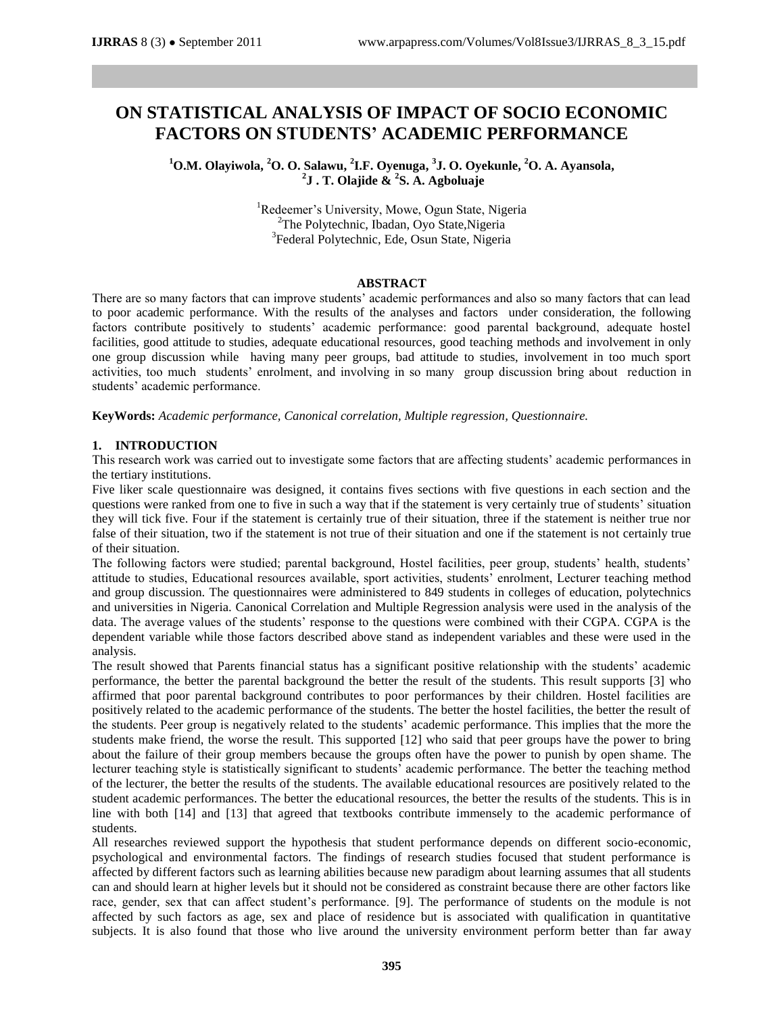# **ON STATISTICAL ANALYSIS OF IMPACT OF SOCIO ECONOMIC FACTORS ON STUDENTS' ACADEMIC PERFORMANCE**

**<sup>1</sup>O.M. Olayiwola, <sup>2</sup>O. O. Salawu, 2 I.F. Oyenuga, 3 J. O. Oyekunle, <sup>2</sup>O. A. Ayansola, 2 J . T. Olajide & 2 S. A. Agboluaje**

> <sup>1</sup>Redeemer's University, Mowe, Ogun State, Nigeria <sup>2</sup>The Polytechnic, Ibadan, Oyo State, Nigeria <sup>3</sup>Federal Polytechnic, Ede, Osun State, Nigeria

#### **ABSTRACT**

There are so many factors that can improve students' academic performances and also so many factors that can lead to poor academic performance. With the results of the analyses and factors under consideration, the following factors contribute positively to students' academic performance: good parental background, adequate hostel facilities, good attitude to studies, adequate educational resources, good teaching methods and involvement in only one group discussion while having many peer groups, bad attitude to studies, involvement in too much sport activities, too much students' enrolment, and involving in so many group discussion bring about reduction in students' academic performance.

**KeyWords:** *Academic performance, Canonical correlation, Multiple regression, Questionnaire.*

#### **1. INTRODUCTION**

This research work was carried out to investigate some factors that are affecting students' academic performances in the tertiary institutions.

Five liker scale questionnaire was designed, it contains fives sections with five questions in each section and the questions were ranked from one to five in such a way that if the statement is very certainly true of students' situation they will tick five. Four if the statement is certainly true of their situation, three if the statement is neither true nor false of their situation, two if the statement is not true of their situation and one if the statement is not certainly true of their situation.

The following factors were studied; parental background, Hostel facilities, peer group, students' health, students' attitude to studies, Educational resources available, sport activities, students' enrolment, Lecturer teaching method and group discussion. The questionnaires were administered to 849 students in colleges of education, polytechnics and universities in Nigeria. Canonical Correlation and Multiple Regression analysis were used in the analysis of the data. The average values of the students' response to the questions were combined with their CGPA. CGPA is the dependent variable while those factors described above stand as independent variables and these were used in the analysis.

The result showed that Parents financial status has a significant positive relationship with the students' academic performance, the better the parental background the better the result of the students. This result supports [3] who affirmed that poor parental background contributes to poor performances by their children. Hostel facilities are positively related to the academic performance of the students. The better the hostel facilities, the better the result of the students. Peer group is negatively related to the students' academic performance. This implies that the more the students make friend, the worse the result. This supported [12] who said that peer groups have the power to bring about the failure of their group members because the groups often have the power to punish by open shame. The lecturer teaching style is statistically significant to students' academic performance. The better the teaching method of the lecturer, the better the results of the students. The available educational resources are positively related to the student academic performances. The better the educational resources, the better the results of the students. This is in line with both [14] and [13] that agreed that textbooks contribute immensely to the academic performance of students.

All researches reviewed support the hypothesis that student performance depends on different socio-economic, psychological and environmental factors. The findings of research studies focused that student performance is affected by different factors such as learning abilities because new paradigm about learning assumes that all students can and should learn at higher levels but it should not be considered as constraint because there are other factors like race, gender, sex that can affect student's performance. [9]. The performance of students on the module is not affected by such factors as age, sex and place of residence but is associated with qualification in quantitative subjects. It is also found that those who live around the university environment perform better than far away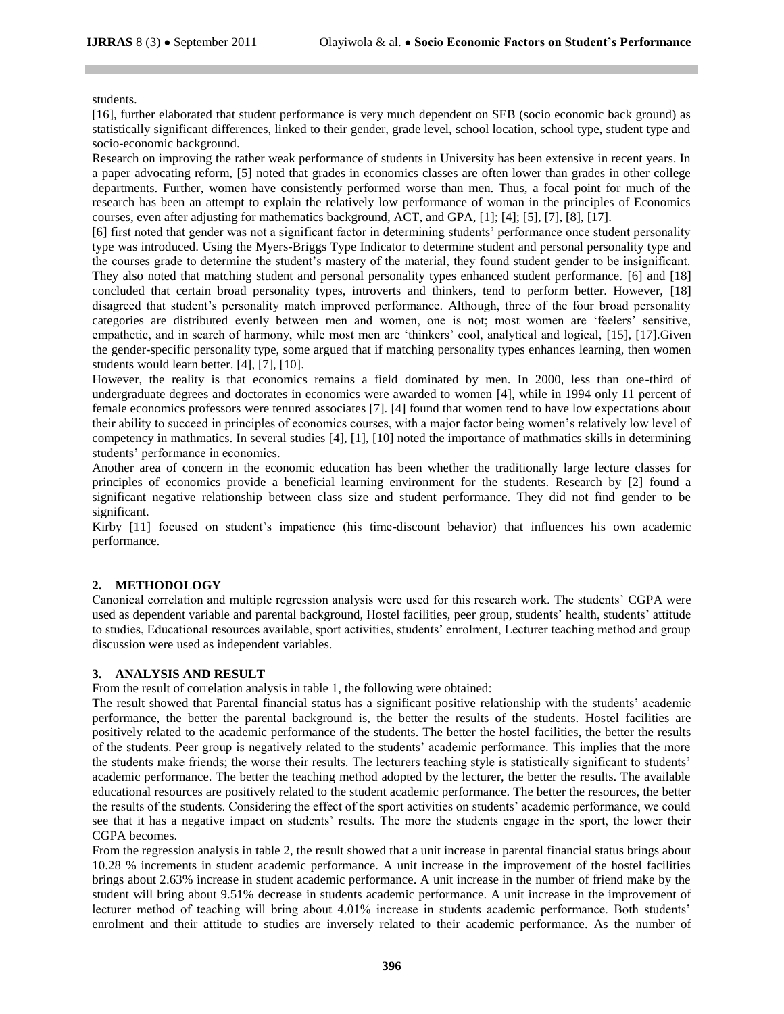#### students.

[16], further elaborated that student performance is very much dependent on SEB (socio economic back ground) as statistically significant differences, linked to their gender, grade level, school location, school type, student type and socio-economic background.

Research on improving the rather weak performance of students in University has been extensive in recent years. In a paper advocating reform, [5] noted that grades in economics classes are often lower than grades in other college departments. Further, women have consistently performed worse than men. Thus, a focal point for much of the research has been an attempt to explain the relatively low performance of woman in the principles of Economics courses, even after adjusting for mathematics background, ACT, and GPA, [1]; [4]; [5], [7], [8], [17].

[6] first noted that gender was not a significant factor in determining students' performance once student personality type was introduced. Using the Myers-Briggs Type Indicator to determine student and personal personality type and the courses grade to determine the student's mastery of the material, they found student gender to be insignificant. They also noted that matching student and personal personality types enhanced student performance. [6] and [18] concluded that certain broad personality types, introverts and thinkers, tend to perform better. However, [18] disagreed that student's personality match improved performance. Although, three of the four broad personality categories are distributed evenly between men and women, one is not; most women are 'feelers' sensitive, empathetic, and in search of harmony, while most men are 'thinkers' cool, analytical and logical, [15], [17].Given the gender-specific personality type, some argued that if matching personality types enhances learning, then women students would learn better. [4], [7], [10].

However, the reality is that economics remains a field dominated by men. In 2000, less than one-third of undergraduate degrees and doctorates in economics were awarded to women [4], while in 1994 only 11 percent of female economics professors were tenured associates [7]. [4] found that women tend to have low expectations about their ability to succeed in principles of economics courses, with a major factor being women's relatively low level of competency in mathmatics. In several studies [4], [1], [10] noted the importance of mathmatics skills in determining students' performance in economics.

Another area of concern in the economic education has been whether the traditionally large lecture classes for principles of economics provide a beneficial learning environment for the students. Research by [2] found a significant negative relationship between class size and student performance. They did not find gender to be significant.

Kirby [11] focused on student's impatience (his time-discount behavior) that influences his own academic performance.

## **2. METHODOLOGY**

Canonical correlation and multiple regression analysis were used for this research work. The students' CGPA were used as dependent variable and parental background, Hostel facilities, peer group, students' health, students' attitude to studies, Educational resources available, sport activities, students' enrolment, Lecturer teaching method and group discussion were used as independent variables.

#### **3. ANALYSIS AND RESULT**

From the result of correlation analysis in table 1, the following were obtained:

The result showed that Parental financial status has a significant positive relationship with the students' academic performance, the better the parental background is, the better the results of the students. Hostel facilities are positively related to the academic performance of the students. The better the hostel facilities, the better the results of the students. Peer group is negatively related to the students' academic performance. This implies that the more the students make friends; the worse their results. The lecturers teaching style is statistically significant to students' academic performance. The better the teaching method adopted by the lecturer, the better the results. The available educational resources are positively related to the student academic performance. The better the resources, the better the results of the students. Considering the effect of the sport activities on students' academic performance, we could see that it has a negative impact on students' results. The more the students engage in the sport, the lower their CGPA becomes.

From the regression analysis in table 2, the result showed that a unit increase in parental financial status brings about 10.28 % increments in student academic performance. A unit increase in the improvement of the hostel facilities brings about 2.63% increase in student academic performance. A unit increase in the number of friend make by the student will bring about 9.51% decrease in students academic performance. A unit increase in the improvement of lecturer method of teaching will bring about 4.01% increase in students academic performance. Both students' enrolment and their attitude to studies are inversely related to their academic performance. As the number of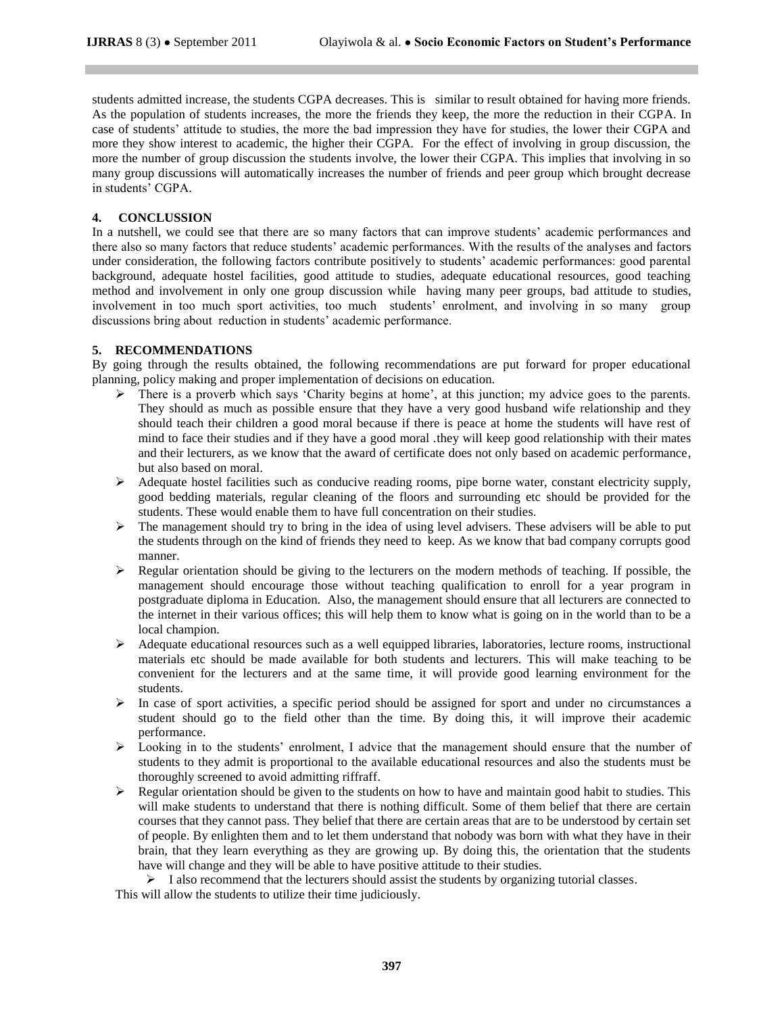students admitted increase, the students CGPA decreases. This is similar to result obtained for having more friends. As the population of students increases, the more the friends they keep, the more the reduction in their CGPA. In case of students' attitude to studies, the more the bad impression they have for studies, the lower their CGPA and more they show interest to academic, the higher their CGPA. For the effect of involving in group discussion, the more the number of group discussion the students involve, the lower their CGPA. This implies that involving in so many group discussions will automatically increases the number of friends and peer group which brought decrease in students' CGPA.

### **4. CONCLUSSION**

In a nutshell, we could see that there are so many factors that can improve students' academic performances and there also so many factors that reduce students' academic performances. With the results of the analyses and factors under consideration, the following factors contribute positively to students' academic performances: good parental background, adequate hostel facilities, good attitude to studies, adequate educational resources, good teaching method and involvement in only one group discussion while having many peer groups, bad attitude to studies, involvement in too much sport activities, too much students' enrolment, and involving in so many group discussions bring about reduction in students' academic performance.

# **5. RECOMMENDATIONS**

By going through the results obtained, the following recommendations are put forward for proper educational planning, policy making and proper implementation of decisions on education.

- > There is a proverb which says 'Charity begins at home', at this junction; my advice goes to the parents. They should as much as possible ensure that they have a very good husband wife relationship and they should teach their children a good moral because if there is peace at home the students will have rest of mind to face their studies and if they have a good moral .they will keep good relationship with their mates and their lecturers, as we know that the award of certificate does not only based on academic performance, but also based on moral.
- $\triangleright$  Adequate hostel facilities such as conducive reading rooms, pipe borne water, constant electricity supply, good bedding materials, regular cleaning of the floors and surrounding etc should be provided for the students. These would enable them to have full concentration on their studies.
- $\triangleright$  The management should try to bring in the idea of using level advisers. These advisers will be able to put the students through on the kind of friends they need to keep. As we know that bad company corrupts good manner.
- $\triangleright$  Regular orientation should be giving to the lecturers on the modern methods of teaching. If possible, the management should encourage those without teaching qualification to enroll for a year program in postgraduate diploma in Education. Also, the management should ensure that all lecturers are connected to the internet in their various offices; this will help them to know what is going on in the world than to be a local champion.
- $\triangleright$  Adequate educational resources such as a well equipped libraries, laboratories, lecture rooms, instructional materials etc should be made available for both students and lecturers. This will make teaching to be convenient for the lecturers and at the same time, it will provide good learning environment for the students.
- $\triangleright$  In case of sport activities, a specific period should be assigned for sport and under no circumstances a student should go to the field other than the time. By doing this, it will improve their academic performance.
- $\triangleright$  Looking in to the students' enrolment, I advice that the management should ensure that the number of students to they admit is proportional to the available educational resources and also the students must be thoroughly screened to avoid admitting riffraff.
- Regular orientation should be given to the students on how to have and maintain good habit to studies. This will make students to understand that there is nothing difficult. Some of them belief that there are certain courses that they cannot pass. They belief that there are certain areas that are to be understood by certain set of people. By enlighten them and to let them understand that nobody was born with what they have in their brain, that they learn everything as they are growing up. By doing this, the orientation that the students have will change and they will be able to have positive attitude to their studies.

 $\triangleright$  I also recommend that the lecturers should assist the students by organizing tutorial classes. This will allow the students to utilize their time judiciously.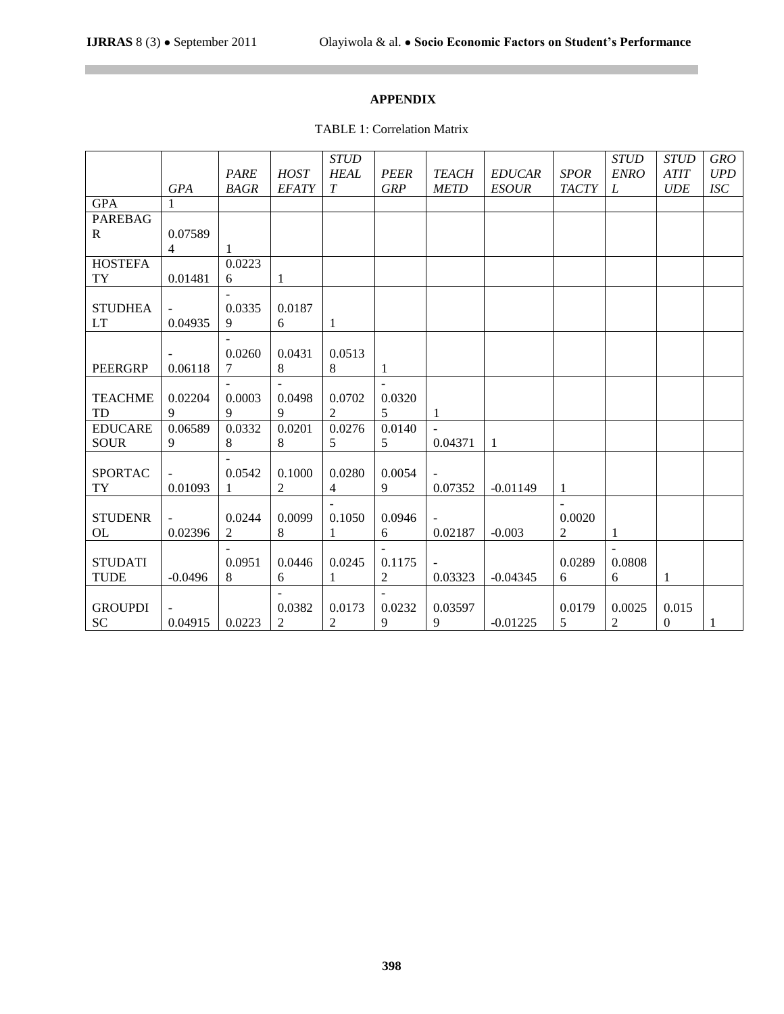# **APPENDIX**

TABLE 1: Correlation Matrix

|                |              |             |                | <b>STUD</b>      |                |              |               |                | <b>STUD</b>    | <b>STUD</b>      | <b>GRO</b> |
|----------------|--------------|-------------|----------------|------------------|----------------|--------------|---------------|----------------|----------------|------------------|------------|
|                |              | <b>PARE</b> | <b>HOST</b>    | <b>HEAL</b>      | <b>PEER</b>    | <b>TEACH</b> | <b>EDUCAR</b> | <b>SPOR</b>    | <b>ENRO</b>    | <b>ATIT</b>      | <b>UPD</b> |
|                | <b>GPA</b>   | <b>BAGR</b> | <b>EFATY</b>   | $\boldsymbol{T}$ | <b>GRP</b>     | <b>METD</b>  | <b>ESOUR</b>  | <b>TACTY</b>   | L              | <b>UDE</b>       | <b>ISC</b> |
| <b>GPA</b>     | $\mathbf{1}$ |             |                |                  |                |              |               |                |                |                  |            |
| <b>PAREBAG</b> |              |             |                |                  |                |              |               |                |                |                  |            |
| $\mathbf{R}$   | 0.07589      |             |                |                  |                |              |               |                |                |                  |            |
|                | 4            |             |                |                  |                |              |               |                |                |                  |            |
| <b>HOSTEFA</b> |              | 0.0223      |                |                  |                |              |               |                |                |                  |            |
| TY             | 0.01481      | 6           | 1              |                  |                |              |               |                |                |                  |            |
|                |              |             |                |                  |                |              |               |                |                |                  |            |
| <b>STUDHEA</b> |              | 0.0335      | 0.0187         |                  |                |              |               |                |                |                  |            |
| <b>LT</b>      | 0.04935      | 9           | 6              | 1                |                |              |               |                |                |                  |            |
|                |              |             |                |                  |                |              |               |                |                |                  |            |
|                |              | 0.0260      | 0.0431         | 0.0513           |                |              |               |                |                |                  |            |
| <b>PEERGRP</b> | 0.06118      | 7           | 8              | $\,8$            | 1              |              |               |                |                |                  |            |
|                |              |             |                |                  | $\mathbf{r}$   |              |               |                |                |                  |            |
| <b>TEACHME</b> | 0.02204      | 0.0003      | 0.0498         | 0.0702           | 0.0320         |              |               |                |                |                  |            |
| TD             | 9            | 9           | 9              | $\overline{2}$   | 5 <sup>5</sup> | 1            |               |                |                |                  |            |
| <b>EDUCARE</b> | 0.06589      | 0.0332      | 0.0201         | 0.0276           | 0.0140         |              |               |                |                |                  |            |
| <b>SOUR</b>    | 9            | 8           | $\,8$          | 5                | 5              | 0.04371      | $\mathbf{1}$  |                |                |                  |            |
|                |              |             |                |                  |                |              |               |                |                |                  |            |
| <b>SPORTAC</b> |              | 0.0542      | 0.1000         | 0.0280           | 0.0054         |              |               |                |                |                  |            |
| <b>TY</b>      | 0.01093      | 1           | $\overline{2}$ | $\overline{4}$   | 9              | 0.07352      | $-0.01149$    | 1              |                |                  |            |
|                |              |             |                |                  |                |              |               |                |                |                  |            |
| <b>STUDENR</b> |              | 0.0244      | 0.0099         | 0.1050           | 0.0946         |              |               | 0.0020         |                |                  |            |
| OL             | 0.02396      | $\sqrt{2}$  | 8              | 1                | 6              | 0.02187      | $-0.003$      | $\overline{c}$ | 1              |                  |            |
|                |              |             |                |                  |                |              |               |                |                |                  |            |
| <b>STUDATI</b> |              | 0.0951      | 0.0446         | 0.0245           | 0.1175         |              |               | 0.0289         | 0.0808         |                  |            |
| <b>TUDE</b>    | $-0.0496$    | $8\,$       | 6              | 1                | $\overline{c}$ | 0.03323      | $-0.04345$    | 6              | 6              | 1                |            |
|                |              |             |                |                  |                |              |               |                |                |                  |            |
| <b>GROUPDI</b> |              |             | 0.0382         | 0.0173           | 0.0232         | 0.03597      |               | 0.0179         | 0.0025         | 0.015            |            |
| <b>SC</b>      | 0.04915      | 0.0223      | $\overline{2}$ | $\overline{2}$   | 9              | 9            | $-0.01225$    | 5              | $\overline{c}$ | $\boldsymbol{0}$ | 1          |